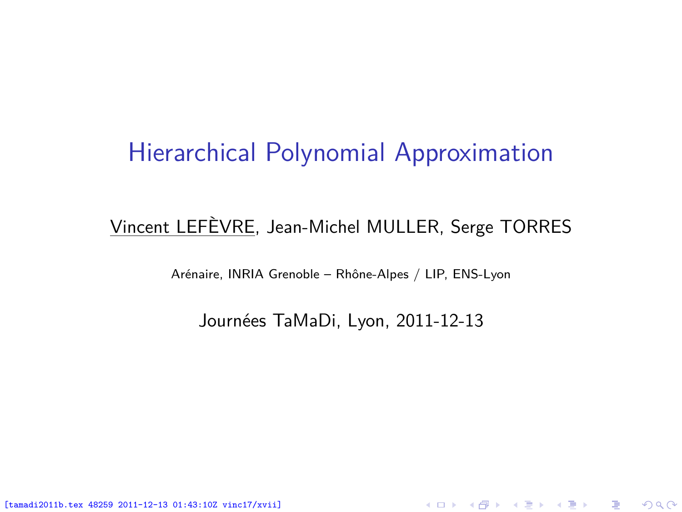#### Hierarchical Polynomial Approximation

#### Vincent LEFÈVRE, Jean-Michel MULLER, Serge TORRES

Arénaire, INRIA Grenoble – Rhône-Alpes / LIP, ENS-Lyon

Journées TaMaDi, Lyon, 2011-12-13

<span id="page-0-0"></span>K ロ ▶ K @ ▶ K 할 ▶ K 할 ▶ 이 할 → 900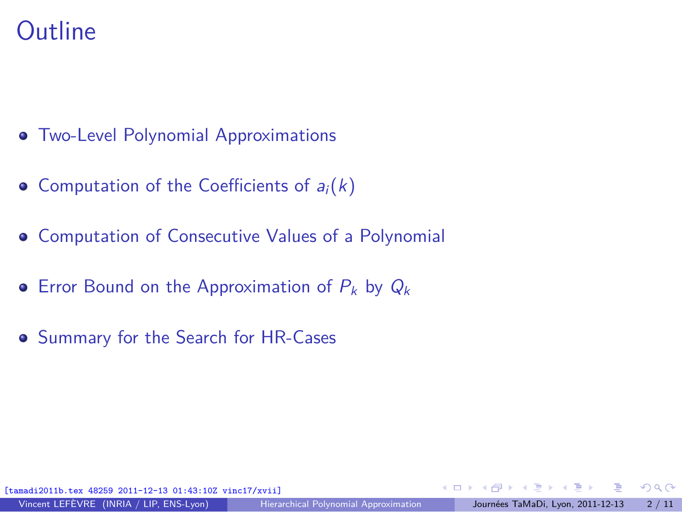#### **Outline**

- [Two-Level Polynomial Approximations](#page-2-0)
- [Computation of the Coefficients of](#page-3-0)  $a_i(k)$
- [Computation of Consecutive Values of a Polynomial](#page-5-0)
- [Error Bound on the Approximation of](#page-9-0)  $P_k$  by  $Q_k$
- [Summary for the Search for HR-Cases](#page-10-0)

[tamadi2011b.tex 48259 2011-12-13 01:43:10Z vinc17/xvii]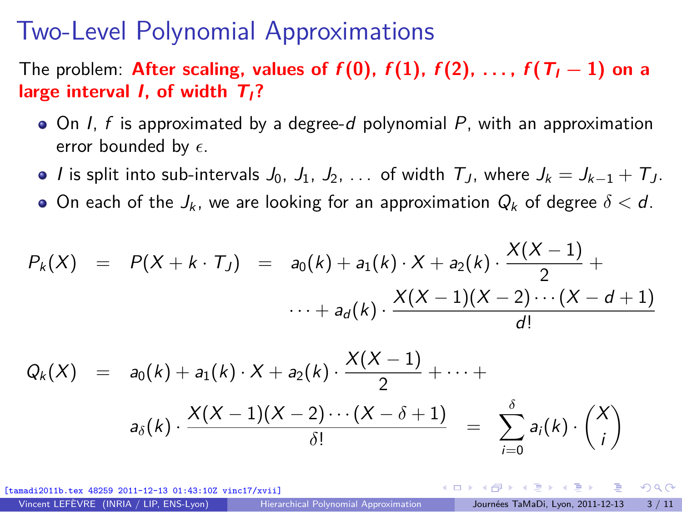#### Two-Level Polynomial Approximations

The problem: **After scaling, values of**  $f(0)$ ,  $f(1)$ ,  $f(2)$ , ...,  $f(T_1 - 1)$  on a **large interval I, of width TI?**

- $\bullet$  On I, f is approximated by a degree-d polynomial P, with an approximation error bounded by  $\epsilon$ .
- $\bullet$  *I* is split into sub-intervals  $J_0$ ,  $J_1$ ,  $J_2$ , ... of width  $T_J$ , where  $J_k = J_{k-1} + T_J$ .
- $\bullet$  On each of the  $J_k$ , we are looking for an approximation  $Q_k$  of degree  $\delta < d$ .

$$
P_k(X) = P(X + k \cdot T_J) = a_0(k) + a_1(k) \cdot X + a_2(k) \cdot \frac{X(X-1)}{2} + \cdots + a_d(k) \cdot \frac{X(X-1)(X-2) \cdots (X-d+1)}{d!}
$$

$$
Q_k(X) = a_0(k) + a_1(k) \cdot X + a_2(k) \cdot \frac{X(X-1)}{2} + \cdots +
$$
  

$$
a_{\delta}(k) \cdot \frac{X(X-1)(X-2) \cdots (X-\delta+1)}{\delta!} = \sum_{i=0}^{\delta} a_i(k) \cdot {X \choose i}
$$

[tamadi2011b.tex 48259 2011-12-13 01:43:10Z vinc17/xvii]

<span id="page-2-0"></span> $\Omega$ 

**≮ロト ⊀何 ト ⊀ ヨ ト ⊀ ヨ ト** .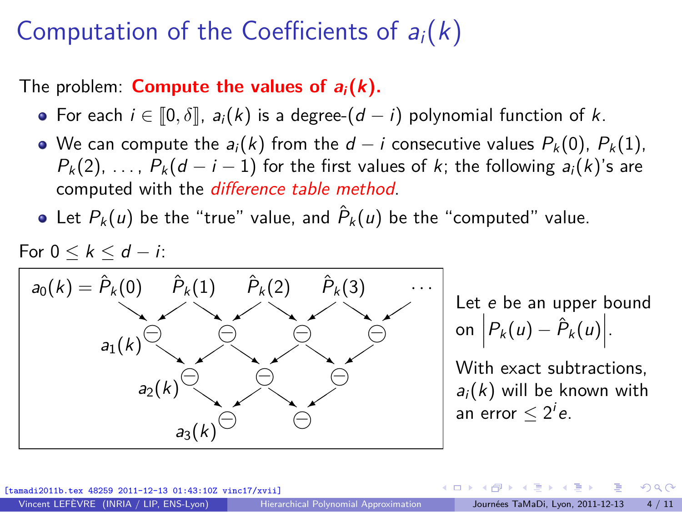# Computation of the Coefficients of  $a_i(k)$

The problem: **Compute the values of**  $a_i(k)$ **.** 

- For each  $i \in \llbracket 0, \delta \rrbracket$ ,  $a_i(k)$  is a degree- $(d i)$  polynomial function of k.
- $\bullet$  We can compute the  $a_i(k)$  from the  $d i$  consecutive values  $P_k(0)$ ,  $P_k(1)$ ,  $P_k(2), \ldots, P_k(d-i-1)$  for the first values of k; the following  $a_i(k)$ 's are computed with the difference table method.
- Let  $P_k(u)$  be the "true" value, and  $\hat{P}_k(u)$  be the "computed" value.



Let e be an upper bound on  $P_k(u) - \hat{P}_k(u)$ .

With exact subtractions,  $a_i(k)$  will be known with an error  $\leq 2^i e$ .

 $(13.01 \cdot 43 \cdot 107 \text{ winc} 17/\text{vvi})$ 

<span id="page-3-0"></span> $\Omega$ 

∢ロト ∢伺 ト ∢ ヨ ト ∢ ヨ ト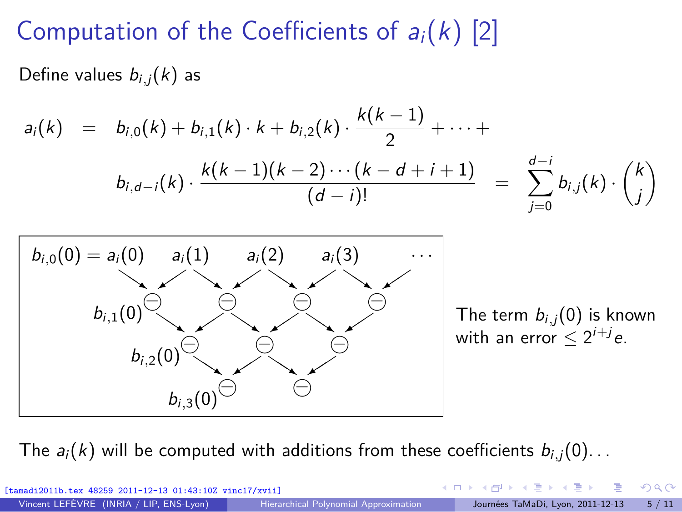# Computation of the Coefficients of  $a_i(k)$  [2]

Define values  $b_{i,j}(k)$  as

$$
a_i(k) = b_{i,0}(k) + b_{i,1}(k) \cdot k + b_{i,2}(k) \cdot \frac{k(k-1)}{2} + \cdots +
$$
  

$$
b_{i,d-i}(k) \cdot \frac{k(k-1)(k-2) \cdots (k-d+i+1)}{(d-i)!} = \sum_{j=0}^{d-i} b_{i,j}(k) \cdot {k \choose j}
$$



The  $a_i(k)$  will be computed with additions from these coefficients  $b_{i,j}(0)$ ...

| [tamadi2011b.tex 48259 2011-12-13 01:43:10Z vinc17/xvii] |                                       |  | - ∢ロ ▶ ∢伊 ▶ ∢ ヨ ▶ ∢ ヨ ▶ - ヨ - Ю Q (^     |  |
|----------------------------------------------------------|---------------------------------------|--|------------------------------------------|--|
| Vincent LEFÈVRE (INRIA / LIP, ENS-Lyon)                  | Hierarchical Polynomial Approximation |  | Journées TaMaDi, Lyon, 2011-12-13 5 / 11 |  |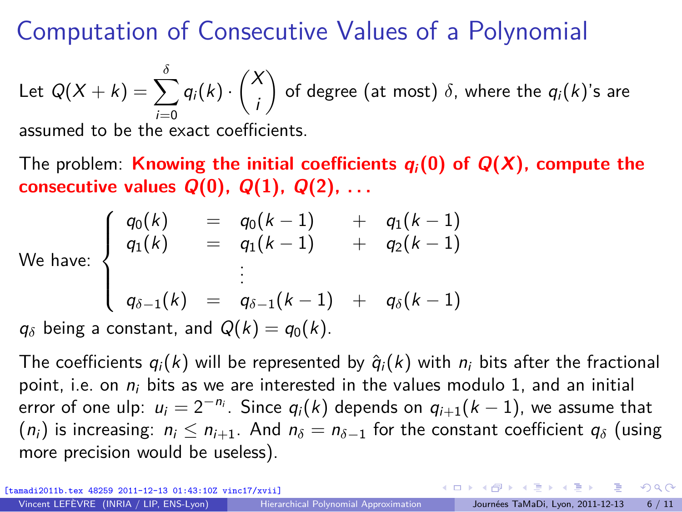# Computation of Consecutive Values of a Polynomial

Let  $Q(X + k) = \sum$ *δ*  $i=0$  $q_i(k) \cdot \binom{X}{k}$ i ) of degree (at most)  $\delta$ , where the  $q_i(k)$ 's are assumed to be the exact coefficients.

The problem: **Knowing the initial coefficients**  $q_i(0)$  **of**  $Q(X)$ **, compute the consecutive values Q**(**0**)**, Q**(**1**)**, Q**(**2**)**, . . .**

$$
\text{we: } \left\{\begin{array}{rcl} q_0(k) & = & q_0(k-1) & + & q_1(k-1) \\ q_1(k) & = & q_1(k-1) & + & q_2(k-1) \\ & \vdots & \end{array}\right.
$$

We hav

$$
q_{\delta-1}(k) = q_{\delta-1}(k-1) + q_{\delta}(k-1)
$$

 $q_\delta$  being a constant, and  $Q(k) = q_0(k)$ .

The coefficients  $q_i(k)$  will be represented by  $\hat{q}_i(k)$  with  $n_i$  bits after the fractional point, i.e. on  $n_i$  bits as we are interested in the values modulo 1, and an initial error of one ulp:  $u_i = 2^{-n_i}$ . Since  $q_i(k)$  depends on  $q_{i+1}(k-1)$ , we assume that  $(n_i)$  is increasing:  $n_i \leq n_{i+1}$ . And  $n_{\delta} = n_{\delta-1}$  for the constant coefficient  $q_{\delta}$  (using more precision would be useless).

[tamadi2011b.tex 48259 2011-12-13 01:43:10Z vinc17/xvii]

 $\overline{\mathcal{L}}$ 

<span id="page-5-0"></span> $\Omega$ 

 $A \equiv \mathbf{1} + \mathbf{1} \oplus \mathbf{1} + \mathbf{1} \oplus \mathbf{1} + \mathbf{1} \oplus \mathbf{1} + \mathbf{1} \oplus \mathbf{1} + \mathbf{1} \oplus \mathbf{1} + \mathbf{1} \oplus \mathbf{1} + \mathbf{1} \oplus \mathbf{1} + \mathbf{1} \oplus \mathbf{1} + \mathbf{1} \oplus \mathbf{1} + \mathbf{1} \oplus \mathbf{1} + \mathbf{1} \oplus \mathbf{1} + \mathbf{1} \oplus \mathbf{1} + \mathbf{1} \oplus \mathbf{1} + \math$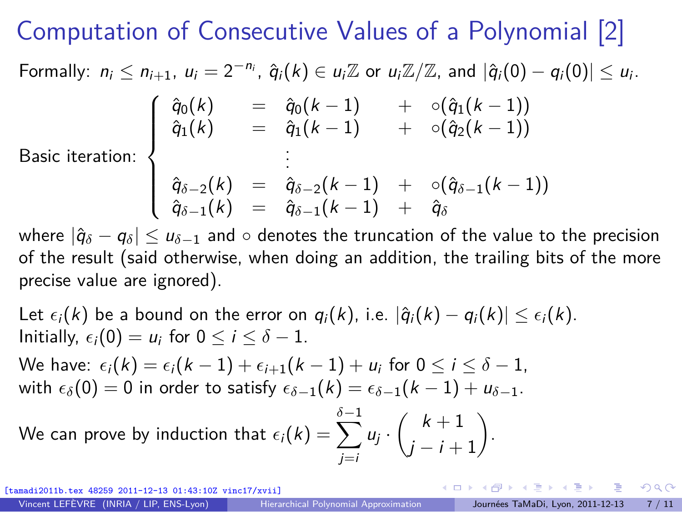# Computation of Consecutive Values of a Polynomial [2]

Formally:  $n_i \leq n_{i+1}$ ,  $u_i = 2^{-n_i}$ ,  $\hat{q}_i(k) \in u_i \mathbb{Z}$  or  $u_i \mathbb{Z}/\mathbb{Z}$ , and  $|\hat{q}_i(0) - q_i(0)| \leq u_i$ .

$$
\left\{\begin{array}{ccc}\hat{q}_0(k)&=&\hat{q}_0(k-1)&+&\circ(\hat{q}_1(k-1))\\\hat{q}_1(k)&=&\hat{q}_1(k-1)&+&\circ(\hat{q}_2(k-1))\\&\vdots&\end{array}\right.
$$

Basic iteration:  $\Bigg\}$ 

$$
\left\{\begin{array}{lcl} \hat{q}_{\delta-2}(k)&=&\hat{q}_{\delta-2}(k-1)&+&\circ(\hat{q}_{\delta-1}(k-1))\\ \hat{q}_{\delta-1}(k)&=&\hat{q}_{\delta-1}(k-1)&+&\hat{q}_{\delta} \end{array}\right.
$$

where  $|\hat{q}_{\delta} - q_{\delta}| \le u_{\delta-1}$  and  $\circ$  denotes the truncation of the value to the precision of the result (said otherwise, when doing an addition, the trailing bits of the more precise value are ignored).

Let  $\epsilon_i(k)$  be a bound on the error on  $q_i(k)$ , i.e.  $|\hat{q}_i(k) - q_i(k)| \leq \epsilon_i(k)$ . Initially,  $\epsilon_i(0) = u_i$  for  $0 \le i \le \delta - 1$ .

We have:  $\epsilon_i(k) = \epsilon_i(k-1) + \epsilon_{i+1}(k-1) + u_i$  for  $0 \le i \le \delta - 1$ , with  $\epsilon_{\delta}(0) = 0$  in order to satisfy  $\epsilon_{\delta-1}(k) = \epsilon_{\delta-1}(k-1) + u_{\delta-1}$ .

We can prove by induction that  $\epsilon_i(k) = \sum_k$ *δ*−1 j=i  $u_j \cdot \left( k+1 \atop k \right)$  $j - i + 1$ .

 $12-13$  01:43:10Z vinc17/xviil

 $\Omega$ 

( ロ ) ( 何 ) ( ヨ ) ( ヨ )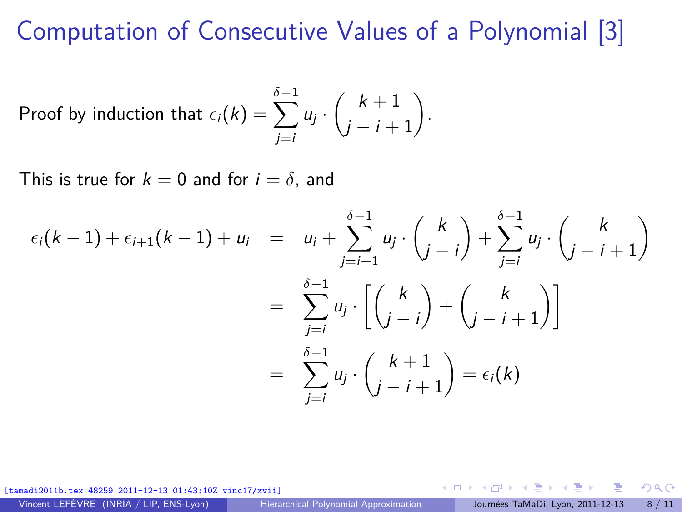# Computation of Consecutive Values of a Polynomial [3]

Proof by induction that 
$$
\epsilon_i(k) = \sum_{j=i}^{\delta-1} u_j \cdot \binom{k+1}{j-i+1}
$$
.

This is true for  $k = 0$  and for  $i = \delta$ , and

$$
\epsilon_i(k-1) + \epsilon_{i+1}(k-1) + u_i = u_i + \sum_{j=i+1}^{\delta-1} u_j \cdot \binom{k}{j-i} + \sum_{j=i}^{\delta-1} u_j \cdot \binom{k}{j-i+1}
$$

$$
= \sum_{j=i}^{\delta-1} u_j \cdot \left[ \binom{k}{j-i} + \binom{k}{j-i+1} \right]
$$

$$
= \sum_{j=i}^{\delta-1} u_j \cdot \binom{k+1}{j-i+1} = \epsilon_i(k)
$$

[tamadi2011b.tex 48259 2011-12-13 01:43:10Z vinc17/xvii]

Vincent LEFÈVRE (INRIA / LIP, ENS-Lyon) [Hierarchical Polynomial Approximation](#page-0-0) Journées TaMaDi, Lyon, 2011-12-13 8 / 11

 $\Omega$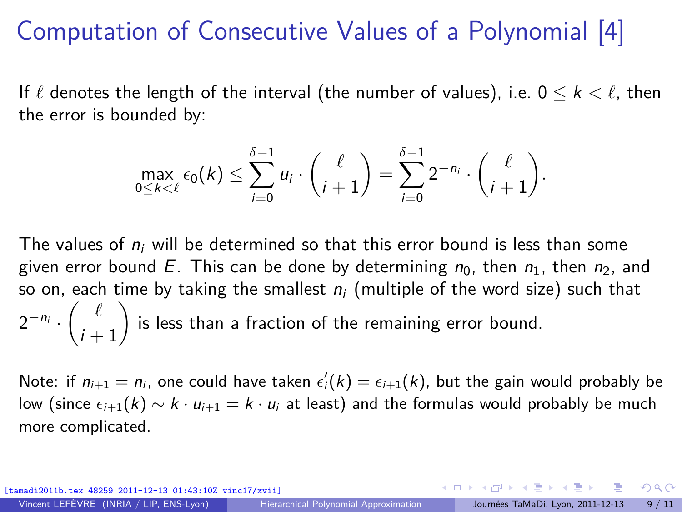## Computation of Consecutive Values of a Polynomial [4]

If  $\ell$  denotes the length of the interval (the number of values), i.e.  $0 \leq k < \ell$ , then the error is bounded by:

$$
\max_{0\leq k<\ell}\epsilon_0(k)\leq \sum_{i=0}^{\delta-1}u_i\cdot\binom{\ell}{i+1}=\sum_{i=0}^{\delta-1}2^{-n_i}\cdot\binom{\ell}{i+1}.
$$

The values of  $n_i$  will be determined so that this error bound is less than some given error bound E. This can be done by determining  $n_0$ , then  $n_1$ , then  $n_2$ , and so on, each time by taking the smallest  $n_i$  (multiple of the word size) such that  $2^{-n_i} \cdot \left( \begin{array}{c} \ell \\ \vdots \end{array} \right)$  $i+1$  $\big)$  is less than a fraction of the remaining error bound.

Note: if  $n_{i+1} = n_i$ , one could have taken  $\epsilon'_i(k) = \epsilon_{i+1}(k)$ , but the gain would probably be low (since  $\epsilon_{i+1}(k) \sim k \cdot u_{i+1} = k \cdot u_i$  at least) and the formulas would probably be much more complicated.

[tamadi2011b.tex 48259 2011-12-13 01:43:10Z vinc17/xvii]

 $\Omega$ 

 $A \equiv \mathbf{1} + \mathbf{1} \oplus \mathbf{1} + \mathbf{1} \oplus \mathbf{1} + \mathbf{1} \oplus \mathbf{1} + \mathbf{1} \oplus \mathbf{1} + \mathbf{1} \oplus \mathbf{1} + \mathbf{1} \oplus \mathbf{1} + \mathbf{1} \oplus \mathbf{1} + \mathbf{1} \oplus \mathbf{1} + \mathbf{1} \oplus \mathbf{1} + \mathbf{1} \oplus \mathbf{1} + \mathbf{1} \oplus \mathbf{1} + \mathbf{1} \oplus \mathbf{1} + \mathbf{1} \oplus \mathbf{1} + \math$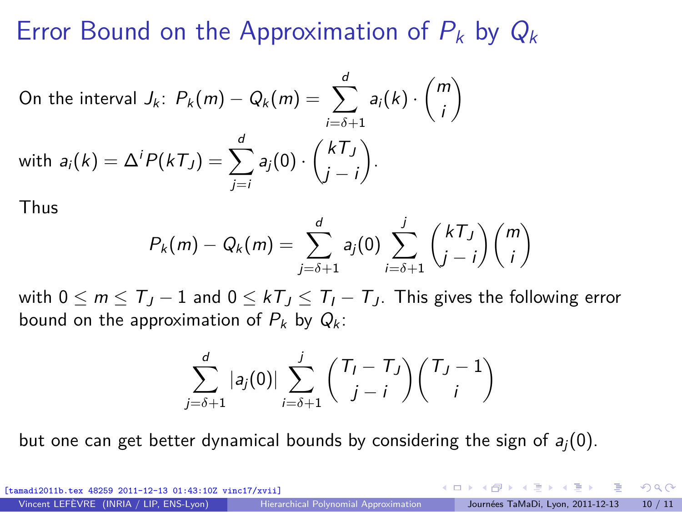#### Error Bound on the Approximation of  $P_k$  by  $Q_k$

On the interval 
$$
J_k
$$
:  $P_k(m) - Q_k(m) = \sum_{i=\delta+1}^d a_i(k) \cdot {m \choose i}$   
with  $a_i(k) = \Delta^i P(kT_j) = \sum_{j=i}^d a_j(0) \cdot {kT_j \choose j-i}$ .

Thus

$$
P_k(m) - Q_k(m) = \sum_{j=\delta+1}^d a_j(0) \sum_{i=\delta+1}^j {kT_j \choose j-i} {m \choose i}
$$

with  $0 \le m \le T_J - 1$  and  $0 \le kT_J \le T_I - T_J$ . This gives the following error bound on the approximation of  $P_k$  by  $Q_k$ :

$$
\sum_{j=\delta+1}^d |a_j(0)| \sum_{i=\delta+1}^j \binom{T_i-T_j}{j-i} \binom{T_j-1}{i}
$$

but one can get better dynamical bounds by considering the sign of  $a_i(0)$ .

[tamadi2011b.tex 48259 2011-12-13 01:43:10Z vinc17/xvii]

<span id="page-9-0"></span> $\Omega$ 

イロト イ押 トイヨ トイヨ トー